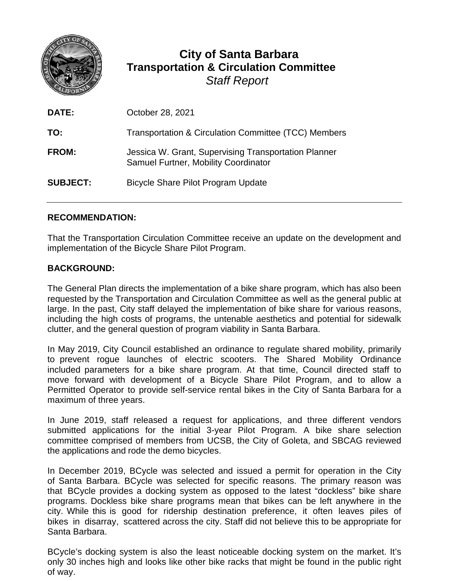

# **City of Santa Barbara Transportation & Circulation Committee** *Staff Report*

| DATE:           | October 28, 2021                                                                             |
|-----------------|----------------------------------------------------------------------------------------------|
| TO:             | Transportation & Circulation Committee (TCC) Members                                         |
| <b>FROM:</b>    | Jessica W. Grant, Supervising Transportation Planner<br>Samuel Furtner, Mobility Coordinator |
| <b>SUBJECT:</b> | Bicycle Share Pilot Program Update                                                           |

### **RECOMMENDATION:**

That the Transportation Circulation Committee receive an update on the development and implementation of the Bicycle Share Pilot Program.

#### **BACKGROUND:**

The General Plan directs the implementation of a bike share program, which has also been requested by the Transportation and Circulation Committee as well as the general public at large. In the past, City staff delayed the implementation of bike share for various reasons, including the high costs of programs, the untenable aesthetics and potential for sidewalk clutter, and the general question of program viability in Santa Barbara.

In May 2019, City Council established an ordinance to regulate shared mobility, primarily to prevent rogue launches of electric scooters. The Shared Mobility Ordinance included parameters for a bike share program. At that time, Council directed staff to move forward with development of a Bicycle Share Pilot Program, and to allow a Permitted Operator to provide self-service rental bikes in the City of Santa Barbara for a maximum of three years.

In June 2019, staff released a request for applications, and three different vendors submitted applications for the initial 3-year Pilot Program. A bike share selection committee comprised of members from UCSB, the City of Goleta, and SBCAG reviewed the applications and rode the demo bicycles.

In December 2019, BCycle was selected and issued a permit for operation in the City of Santa Barbara. BCycle was selected for specific reasons. The primary reason was that BCycle provides a docking system as opposed to the latest "dockless" bike share programs. Dockless bike share programs mean that bikes can be left anywhere in the city. While this is good for ridership destination preference, it often leaves piles of bikes in disarray, scattered across the city. Staff did not believe this to be appropriate for Santa Barbara.

BCycle's docking system is also the least noticeable docking system on the market. It's only 30 inches high and looks like other bike racks that might be found in the public right of way.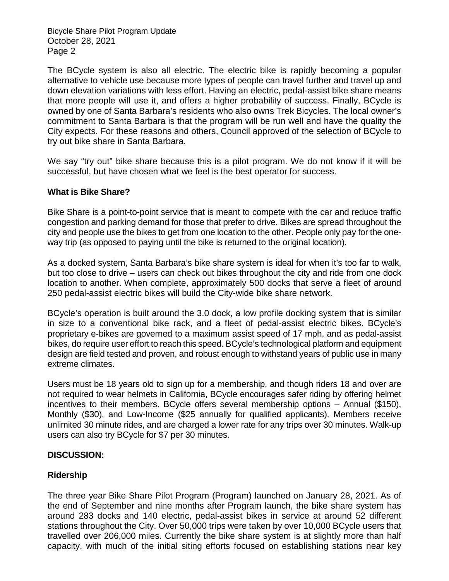The BCycle system is also all electric. The electric bike is rapidly becoming a popular alternative to vehicle use because more types of people can travel further and travel up and down elevation variations with less effort. Having an electric, pedal-assist bike share means that more people will use it, and offers a higher probability of success. Finally, BCycle is owned by one of Santa Barbara's residents who also owns Trek Bicycles. The local owner's commitment to Santa Barbara is that the program will be run well and have the quality the City expects. For these reasons and others, Council approved of the selection of BCycle to try out bike share in Santa Barbara.

We say "try out" bike share because this is a pilot program. We do not know if it will be successful, but have chosen what we feel is the best operator for success.

#### **What is Bike Share?**

Bike Share is a point-to-point service that is meant to compete with the car and reduce traffic congestion and parking demand for those that prefer to drive. Bikes are spread throughout the city and people use the bikes to get from one location to the other. People only pay for the oneway trip (as opposed to paying until the bike is returned to the original location).

As a docked system, Santa Barbara's bike share system is ideal for when it's too far to walk, but too close to drive – users can check out bikes throughout the city and ride from one dock location to another. When complete, approximately 500 docks that serve a fleet of around 250 pedal-assist electric bikes will build the City-wide bike share network.

BCycle's operation is built around the 3.0 dock, a low profile docking system that is similar in size to a conventional bike rack, and a fleet of pedal-assist electric bikes. BCycle's proprietary e-bikes are governed to a maximum assist speed of 17 mph, and as pedal-assist bikes, do require user effort to reach this speed. BCycle's technological platform and equipment design are field tested and proven, and robust enough to withstand years of public use in many extreme climates.

Users must be 18 years old to sign up for a membership, and though riders 18 and over are not required to wear helmets in California, BCycle encourages safer riding by offering helmet incentives to their members. BCycle offers several membership options – Annual (\$150), Monthly (\$30), and Low-Income (\$25 annually for qualified applicants). Members receive unlimited 30 minute rides, and are charged a lower rate for any trips over 30 minutes. Walk-up users can also try BCycle for \$7 per 30 minutes.

#### **DISCUSSION:**

# **Ridership**

The three year Bike Share Pilot Program (Program) launched on January 28, 2021. As of the end of September and nine months after Program launch, the bike share system has around 283 docks and 140 electric, pedal-assist bikes in service at around 52 different stations throughout the City. Over 50,000 trips were taken by over 10,000 BCycle users that travelled over 206,000 miles. Currently the bike share system is at slightly more than half capacity, with much of the initial siting efforts focused on establishing stations near key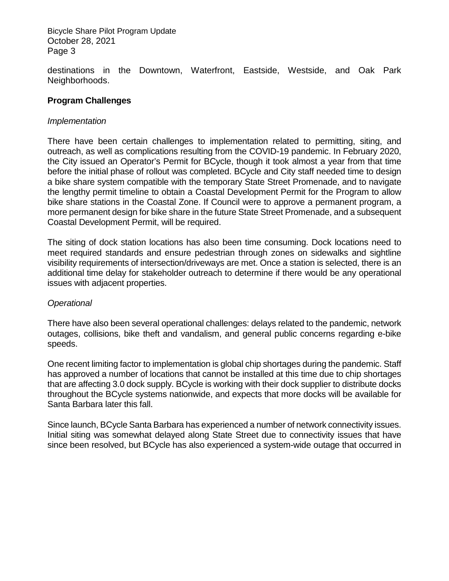destinations in the Downtown, Waterfront, Eastside, Westside, and Oak Park Neighborhoods.

#### **Program Challenges**

#### *Implementation*

There have been certain challenges to implementation related to permitting, siting, and outreach, as well as complications resulting from the COVID-19 pandemic. In February 2020, the City issued an Operator's Permit for BCycle, though it took almost a year from that time before the initial phase of rollout was completed. BCycle and City staff needed time to design a bike share system compatible with the temporary State Street Promenade, and to navigate the lengthy permit timeline to obtain a Coastal Development Permit for the Program to allow bike share stations in the Coastal Zone. If Council were to approve a permanent program, a more permanent design for bike share in the future State Street Promenade, and a subsequent Coastal Development Permit, will be required.

The siting of dock station locations has also been time consuming. Dock locations need to meet required standards and ensure pedestrian through zones on sidewalks and sightline visibility requirements of intersection/driveways are met. Once a station is selected, there is an additional time delay for stakeholder outreach to determine if there would be any operational issues with adjacent properties.

#### *Operational*

There have also been several operational challenges: delays related to the pandemic, network outages, collisions, bike theft and vandalism, and general public concerns regarding e-bike speeds.

One recent limiting factor to implementation is global chip shortages during the pandemic. Staff has approved a number of locations that cannot be installed at this time due to chip shortages that are affecting 3.0 dock supply. BCycle is working with their dock supplier to distribute docks throughout the BCycle systems nationwide, and expects that more docks will be available for Santa Barbara later this fall.

Since launch, BCycle Santa Barbara has experienced a number of network connectivity issues. Initial siting was somewhat delayed along State Street due to connectivity issues that have since been resolved, but BCycle has also experienced a system-wide outage that occurred in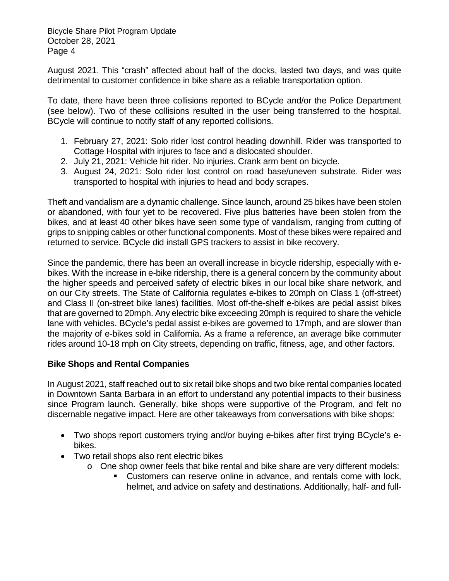August 2021. This "crash" affected about half of the docks, lasted two days, and was quite detrimental to customer confidence in bike share as a reliable transportation option.

To date, there have been three collisions reported to BCycle and/or the Police Department (see below). Two of these collisions resulted in the user being transferred to the hospital. BCycle will continue to notify staff of any reported collisions.

- 1. February 27, 2021: Solo rider lost control heading downhill. Rider was transported to Cottage Hospital with injures to face and a dislocated shoulder.
- 2. July 21, 2021: Vehicle hit rider. No injuries. Crank arm bent on bicycle.
- 3. August 24, 2021: Solo rider lost control on road base/uneven substrate. Rider was transported to hospital with injuries to head and body scrapes.

Theft and vandalism are a dynamic challenge. Since launch, around 25 bikes have been stolen or abandoned, with four yet to be recovered. Five plus batteries have been stolen from the bikes, and at least 40 other bikes have seen some type of vandalism, ranging from cutting of grips to snipping cables or other functional components. Most of these bikes were repaired and returned to service. BCycle did install GPS trackers to assist in bike recovery.

Since the pandemic, there has been an overall increase in bicycle ridership, especially with ebikes. With the increase in e-bike ridership, there is a general concern by the community about the higher speeds and perceived safety of electric bikes in our local bike share network, and on our City streets. The State of California regulates e-bikes to 20mph on Class 1 (off-street) and Class II (on-street bike lanes) facilities. Most off-the-shelf e-bikes are pedal assist bikes that are governed to 20mph. Any electric bike exceeding 20mph is required to share the vehicle lane with vehicles. BCycle's pedal assist e-bikes are governed to 17mph, and are slower than the majority of e-bikes sold in California. As a frame a reference, an average bike commuter rides around 10-18 mph on City streets, depending on traffic, fitness, age, and other factors.

#### **Bike Shops and Rental Companies**

In August 2021, staff reached out to six retail bike shops and two bike rental companies located in Downtown Santa Barbara in an effort to understand any potential impacts to their business since Program launch. Generally, bike shops were supportive of the Program, and felt no discernable negative impact. Here are other takeaways from conversations with bike shops:

- Two shops report customers trying and/or buying e-bikes after first trying BCycle's ebikes.
- Two retail shops also rent electric bikes
	- o One shop owner feels that bike rental and bike share are very different models:
		- Customers can reserve online in advance, and rentals come with lock, helmet, and advice on safety and destinations. Additionally, half- and full-